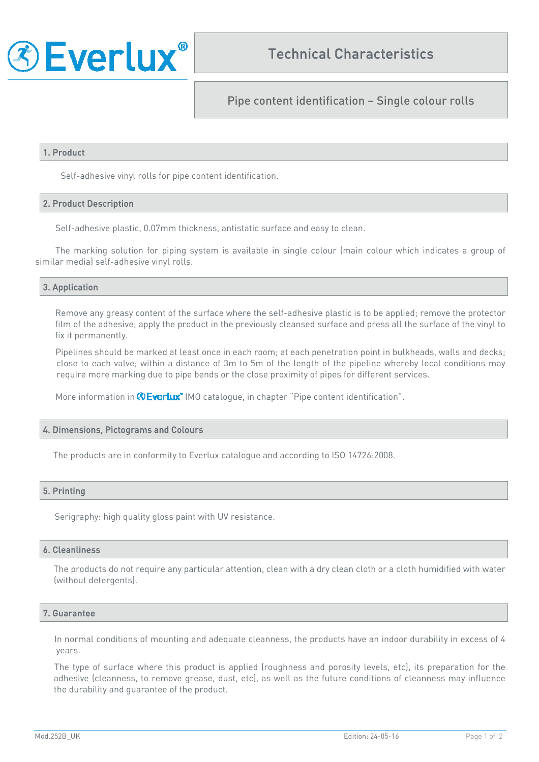

Pipe content identification – Single colour rolls

## 1. Product

Self-adhesive vinyl rolls for pipe content identification.

## 2. Product Description

Self-adhesive plastic, 0.07mm thickness, antistatic surface and easy to clean.

The marking solution for piping system is available in single colour (main colour which indicates a group of similar media) self-adhesive vinyl rolls.

## 3. Application

Remove any greasy content of the surface where the self-adhesive plastic is to be applied; remove the protector film of the adhesive; apply the product in the previously cleansed surface and press all the surface of the vinyl to fix it permanently.

Pipelines should be marked at least once in each room; at each penetration point in bulkheads, walls and decks; close to each valve; within a distance of 3m to 5m of the length of the pipeline whereby local conditions may require more marking due to pipe bends or the close proximity of pipes for different services.

More information in **©Everlux**<sup>®</sup> IMO catalogue, in chapter "Pipe content identification".

## 4. Dimensions, Pictograms and Colours

The products are in conformity to Everlux catalogue and according to ISO 14726:2008.

## 5. Printing

Serigraphy: high quality gloss paint with UV resistance.

#### 6. Cleanliness

The products do not require any particular attention, clean with a dry clean cloth or a cloth humidified with water (without detergents).

## 7. Guarantee

In normal conditions of mounting and adequate cleanness, the products have an indoor durability in excess of 4 years.

The type of surface where this product is applied (roughness and porosity levels, etc), its preparation for the adhesive (cleanness, to remove grease, dust, etc), as well as the future conditions of cleanness may influence the durability and guarantee of the product.